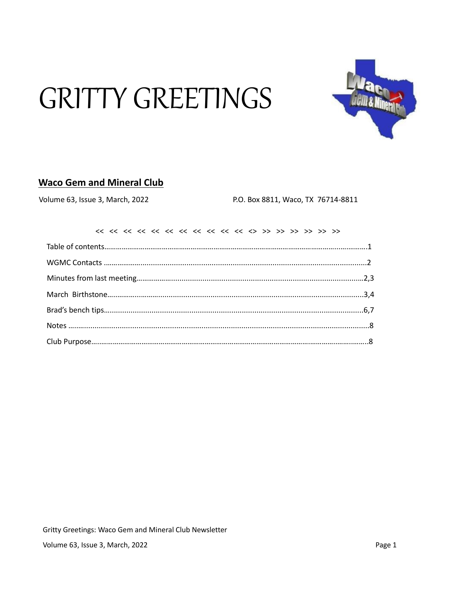# **GRITTY GREETINGS**



# **Waco Gem and Mineral Club**

Volume 63, Issue 3, March, 2022

P.O. Box 8811, Waco, TX 76714-8811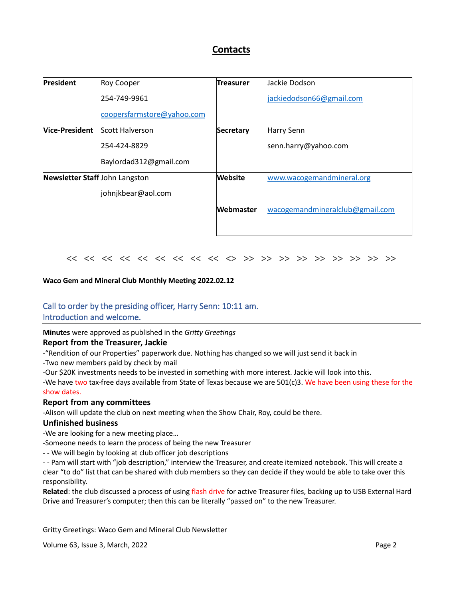# **Contacts**

| <b>President</b>               | Roy Cooper                            | <b>Treasurer</b> | Jackie Dodson                   |
|--------------------------------|---------------------------------------|------------------|---------------------------------|
|                                | 254-749-9961                          |                  | jackiedodson66@gmail.com        |
|                                | coopersfarmstore@yahoo.com            |                  |                                 |
|                                | <b>Nice-President</b> Scott Halverson | <b>Secretary</b> | Harry Senn                      |
|                                | 254-424-8829                          |                  | senn.harry@yahoo.com            |
|                                | Baylordad312@gmail.com                |                  |                                 |
| Newsletter Staff John Langston |                                       | <b>Website</b>   | www.wacogemandmineral.org       |
|                                | johnjkbear@aol.com                    |                  |                                 |
|                                |                                       | Webmaster        | wacogemandmineralclub@gmail.com |
|                                |                                       |                  |                                 |

#### << << << << << << << << << <> >> >> >> >> >> >> >> >> >>

#### **Waco Gem and Mineral Club Monthly Meeting 2022.02.12**

# Call to order by the presiding officer, Harry Senn: 10:11 am.

### Introduction and welcome.

#### **Minutes** were approved as published in the *Gritty Greetings*

#### **Report from the Treasurer, Jackie**

- -"Rendition of our Properties" paperwork due. Nothing has changed so we will just send it back in
- -Two new members paid by check by mail
- -Our \$20K investments needs to be invested in something with more interest. Jackie will look into this.

-We have two tax-free days available from State of Texas because we are  $501(c)3$ . We have been using these for the show dates.

#### **Report from any committees**

-Alison will update the club on next meeting when the Show Chair, Roy, could be there.

#### **Unfinished business**

-We are looking for a new meeting place…

-Someone needs to learn the process of being the new Treasurer

- - We will begin by looking at club officer job descriptions

- - Pam will start with "job description," interview the Treasurer, and create itemized notebook. This will create a clear "to do" list that can be shared with club members so they can decide if they would be able to take over this responsibility.

**Related**: the club discussed a process of using flash drive for active Treasurer files, backing up to USB External Hard Drive and Treasurer's computer; then this can be literally "passed on" to the new Treasurer.

Gritty Greetings: Waco Gem and Mineral Club Newsletter

Volume 63, Issue 3, March, 2022 **Page 2** Page 2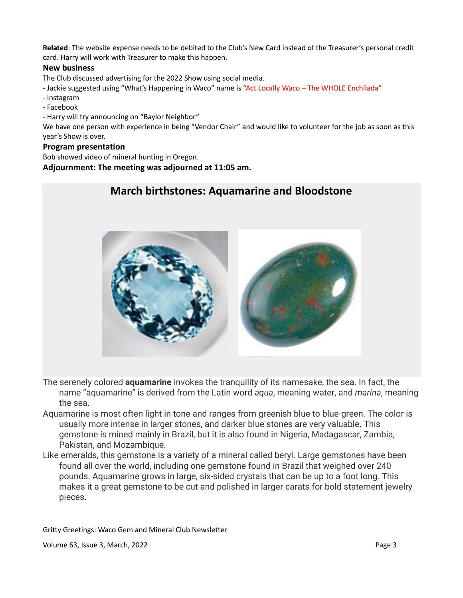**Related**: The website expense needs to be debited to the Club's New Card instead of the Treasurer's personal credit card. Harry will work with Treasurer to make this happen.

#### **New business**

The Club discussed advertising for the 2022 Show using social media.

- Jackie suggested using "What's Happening in Waco" name is "Act Locally Waco The WHOLE Enchilada"
- Instagram
- Facebook
- Harry will try announcing on "Baylor Neighbor"

We have one person with experience in being "Vendor Chair" and would like to volunteer for the job as soon as this year's Show is over.

#### **Program presentation**

Bob showed video of mineral hunting in Oregon.

#### **Adjournment: The meeting was adjourned at 11:05 am.**

# **March birthstones: Aquamarine and Bloodstone**



- The serenely colored **aquamarine** invokes the tranquility of its namesake, the sea. In fact, the name "aquamarine" is derived from the Latin word *aqua*, meaning water, and *marina*, meaning the sea.
- Aquamarine is most often light in tone and ranges from greenish blue to blue-green. The color is usually more intense in larger stones, and darker blue stones are very valuable. This gemstone is mined mainly in Brazil, but it is also found in Nigeria, Madagascar, Zambia, Pakistan, and Mozambique.
- Like emeralds, this gemstone is a variety of a mineral called beryl. Large gemstones have been found all over the world, including one gemstone found in Brazil that weighed over 240 pounds. Aquamarine grows in large, six-sided crystals that can be up to a foot long. This makes it a great gemstone to be cut and polished in larger carats for bold statement jewelry pieces.

Gritty Greetings: Waco Gem and Mineral Club Newsletter

Volume 63, Issue 3, March, 2022 **Page 3** Page 3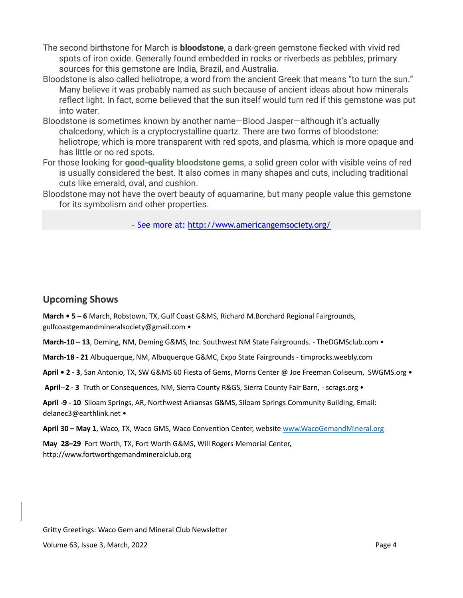- The second birthstone for March is **bloodstone**, a dark-green gemstone flecked with vivid red spots of iron oxide. Generally found embedded in rocks or riverbeds as pebbles, primary sources for this gemstone are India, Brazil, and Australia.
- Bloodstone is also called heliotrope, a word from the ancient Greek that means "to turn the sun." Many believe it was probably named as such because of ancient ideas about how minerals reflect light. In fact, some believed that the sun itself would turn red if this gemstone was put into water.
- Bloodstone is sometimes known by another name—Blood Jasper—although it's actually chalcedony, which is a cryptocrystalline quartz. There are two forms of bloodstone: heliotrope, which is more transparent with red spots, and plasma, which is more opaque and has little or no red spots.
- For those looking for **[good-quality bloodstone gems](https://www.americangemsociety.org/findajeweler)**, a solid green color with visible veins of red is usually considered the best. It also comes in many shapes and cuts, including traditional cuts like emerald, oval, and cushion.
- Bloodstone may not have the overt beauty of aquamarine, but many people value this gemstone for its symbolism and other properties.

- See more at: http://www.americangemsociety.org/

## **Upcoming Shows**

**March • 5 – 6** March, Robstown, TX, Gulf Coast G&MS, Richard M.Borchard Regional Fairgrounds, gulfcoastgemandmineralsociety@gmail.com •

**March-10 – 13**, Deming, NM, Deming G&MS, Inc. Southwest NM State Fairgrounds. - TheDGMSclub.com •

**March-18 - 21** Albuquerque, NM, Albuquerque G&MC, Expo State Fairgrounds - timprocks.weebly.com

**April • 2 - 3**, San Antonio, TX, SW G&MS 60 Fiesta of Gems, Morris Center @ Joe Freeman Coliseum, SWGMS.org •

**April--2 - 3** Truth or Consequences, NM, Sierra County R&GS, Sierra County Fair Barn, - scrags.org •

**April -9 - 10** Siloam Springs, AR, Northwest Arkansas G&MS, Siloam Springs Community Building, Email: delanec3@earthlink.net •

**April 30 – May 1**, Waco, TX, Waco GMS, Waco Convention Center, website [www.WacoGemandMineral.org](http://www.wacogemandmineral.org/)

**May 28–29** Fort Worth, TX, Fort Worth G&MS, Will Rogers Memorial Center, http://www.fortworthgemandmineralclub.org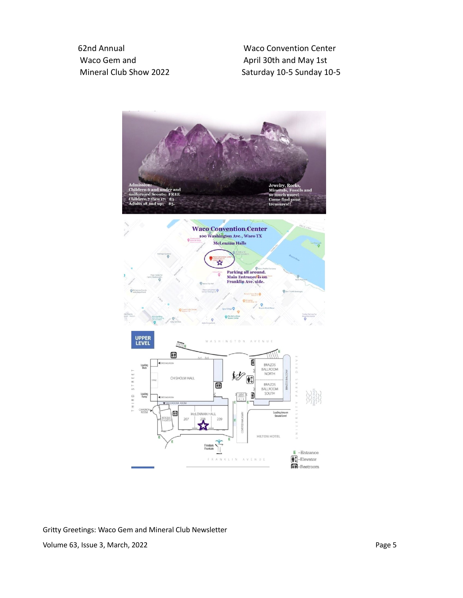Waco Gem and April 30th and May 1st

 62nd Annual Waco Convention Center Mineral Club Show 2022 Saturday 10-5 Sunday 10-5



Gritty Greetings: Waco Gem and Mineral Club Newsletter Volume 63, Issue 3, March, 2022 **Page 5**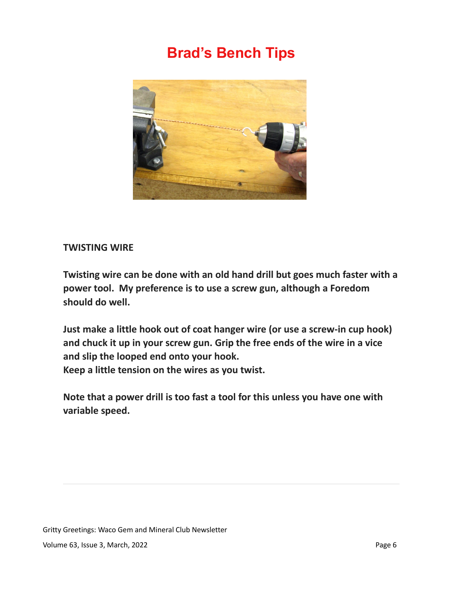# **Brad's Bench Tips**



## **TWISTING WIRE**

**Twisting wire can be done with an old hand drill but goes much faster with a power tool. My preference is to use a screw gun, although a Foredom should do well.**

**Just make a little hook out of coat hanger wire (or use a screw-in cup hook) and chuck it up in your screw gun. Grip the free ends of the wire in a vice and slip the looped end onto your hook. Keep a little tension on the wires as you twist.** 

**Note that a power drill is too fast a tool for this unless you have one with variable speed.**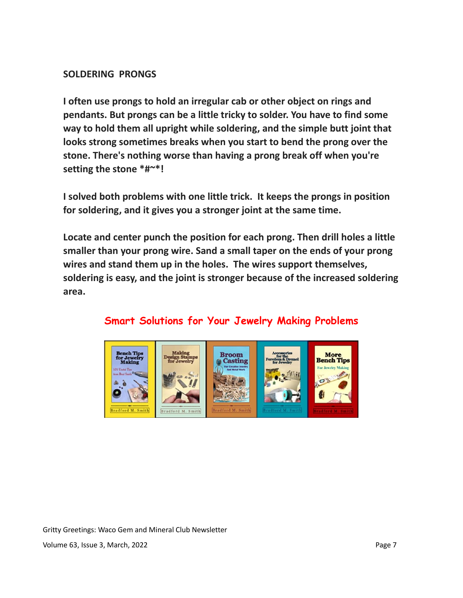# **SOLDERING PRONGS**

**I often use prongs to hold an irregular cab or other object on rings and pendants. But prongs can be a little tricky to solder. You have to find some way to hold them all upright while soldering, and the simple butt joint that looks strong sometimes breaks when you start to bend the prong over the stone. There's nothing worse than having a prong break off when you're setting the stone \*#~\*!**

**I solved both problems with one little trick. It keeps the prongs in position for soldering, and it gives you a stronger joint at the same time.** 

**Locate and center punch the position for each prong. Then drill holes a little smaller than your prong wire. Sand a small taper on the ends of your prong wires and stand them up in the holes. The wires support themselves, soldering is easy, and the joint is stronger because of the increased soldering area.**

# **Smart Solutions for Your Jewelry Making Problems**

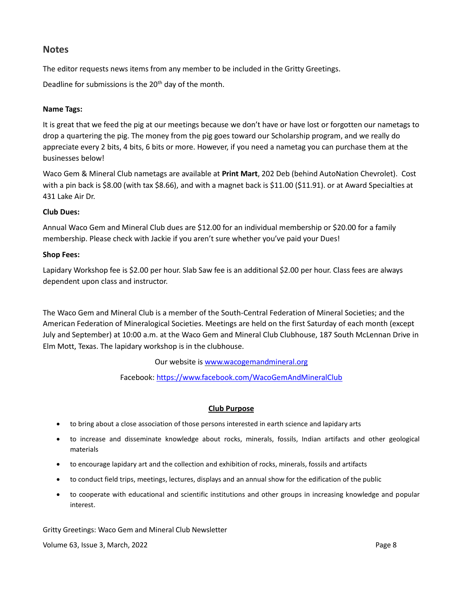## **Notes**

The editor requests news items from any member to be included in the Gritty Greetings.

Deadline for submissions is the 20<sup>th</sup> day of the month.

#### **Name Tags:**

It is great that we feed the pig at our meetings because we don't have or have lost or forgotten our nametags to drop a quartering the pig. The money from the pig goes toward our Scholarship program, and we really do appreciate every 2 bits, 4 bits, 6 bits or more. However, if you need a nametag you can purchase them at the businesses below!

Waco Gem & Mineral Club nametags are available at **Print Mart**, 202 Deb (behind AutoNation Chevrolet). Cost with a pin back is \$8.00 (with tax \$8.66), and with a magnet back is \$11.00 (\$11.91). or at Award Specialties at 431 Lake Air Dr.

#### **Club Dues:**

Annual Waco Gem and Mineral Club dues are \$12.00 for an individual membership or \$20.00 for a family membership. Please check with Jackie if you aren't sure whether you've paid your Dues!

#### **Shop Fees:**

Lapidary Workshop fee is \$2.00 per hour. Slab Saw fee is an additional \$2.00 per hour. Class fees are always dependent upon class and instructor.

The Waco Gem and Mineral Club is a member of the South-Central Federation of Mineral Societies; and the American Federation of Mineralogical Societies. Meetings are held on the first Saturday of each month (except July and September) at 10:00 a.m. at the Waco Gem and Mineral Club Clubhouse, 187 South McLennan Drive in Elm Mott, Texas. The lapidary workshop is in the clubhouse.

Our website is www.wacogemandmineral.org

Facebook:<https://www.facebook.com/WacoGemAndMineralClub>

#### **Club Purpose**

- to bring about a close association of those persons interested in earth science and lapidary arts
- to increase and disseminate knowledge about rocks, minerals, fossils, Indian artifacts and other geological materials
- to encourage lapidary art and the collection and exhibition of rocks, minerals, fossils and artifacts
- to conduct field trips, meetings, lectures, displays and an annual show for the edification of the public
- to cooperate with educational and scientific institutions and other groups in increasing knowledge and popular interest.

Gritty Greetings: Waco Gem and Mineral Club Newsletter

Volume 63, Issue 3, March, 2022 **Page 8** Page 8